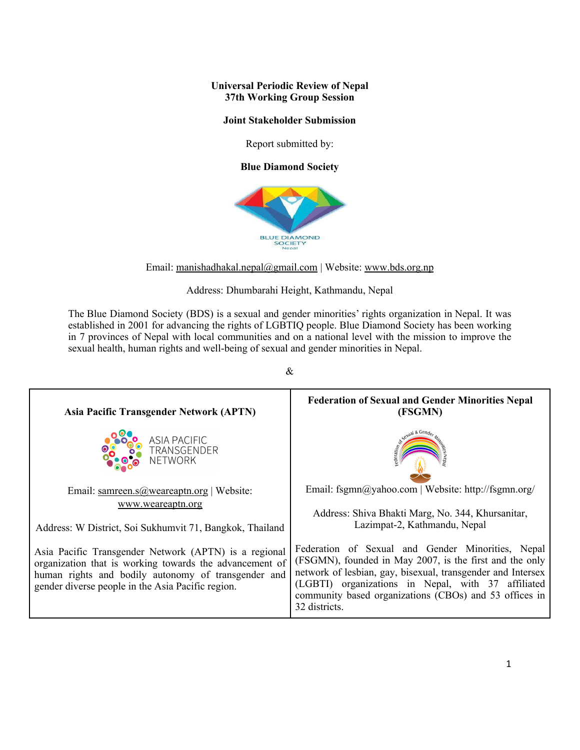### **Universal Periodic Review of Nepal 37th Working Group Session**

### **Joint Stakeholder Submission**

Report submitted by:

**Blue Diamond Society**



Email: [manishadhakal.nepal@gmail.com](mailto:manishadhakal.nepal@gmail.com) | Website: www.bds.org.np

Address: Dhumbarahi Height, Kathmandu, Nepal

The Blue Diamond Society (BDS) is <sup>a</sup> sexual and gender minorities' rights organization in [Nepal](https://en.wikipedia.org/wiki/Nepal). It was established in 2001 for advancing the rights of LGBTIQ people. Blue Diamond Society has been working in 7 provinces of Nepal with local communities and on <sup>a</sup> national level with the mission to improve the sexual health, human rights and well-being of sexual and gender minorities in Nepal.

**Federation of Sexual and Gender Minorities Nepal Asia Pacific Transgender Network (APTN) (FSGMN)** ASIA PACIFIC TRANSGENDER NETWORK Email: fsgmn@yahoo.com | Website: http://fsgmn.org/ Email: [samreen.s@weareaptn.org](mailto:samreen.s@weareaptn.org) | Website: [www.weareap](http://www.weareaptn.org)tn.org Address: Shiva Bhakti Marg, No. 344, Khursanitar, Lazimpat-2, Kathmandu, Nepal Address: W District, Soi Sukhumvit 71, Bangkok, Thailand Federation of Sexual and Gender Minorities, Nepal Asia Pacific Transgender Network (APTN) is <sup>a</sup> regional (FSGMN), founded in May 2007, is the first and the only organization that is working towards the advancement of network of lesbian, gay, bisexual, transgender and Intersex human rights and bodily autonomy of transgender and (LGBTI) organizations in Nepal, with 37 affiliated gender diverse people in the Asia Pacific region. community based organizations (CBOs) and 53 offices in 32 districts.

&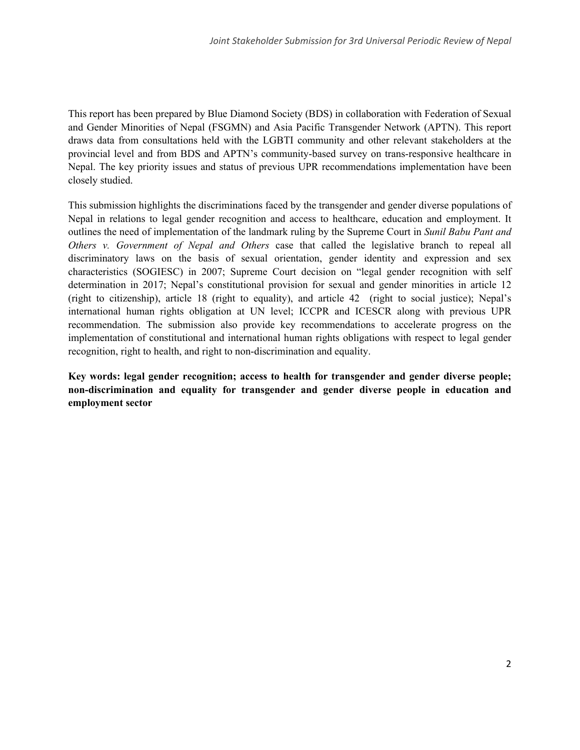This repor<sup>t</sup> has been prepared by Blue Diamond Society (BDS) in collaboration with Federation of Sexual and Gender Minorities of Nepal (FSGMN) and Asia Pacific Transgender Network (APTN). This repor<sup>t</sup> draws data from consultations held with the LGBTI community and other relevant stakeholders at the provincial level and from BDS and APTN'<sup>s</sup> community-based survey on trans-responsive healthcare in Nepal. The key priority issues and status of previous UPR recommendations implementation have been closely studied.

This submission highlights the discriminations faced by the transgender and gender diverse populations of Nepal in relations to legal gender recognition and access to healthcare, education and employment. It outlines the need of implementation of the landmark ruling by the Supreme Court in *Sunil Babu Pant and Others v. Government of Nepal and Others* case that called the legislative branch to repeal all discriminatory laws on the basis of sexual orientation, gender identity and expression and sex characteristics (SOGIESC) in 2007; Supreme Court decision on "legal gender recognition with self determination in 2017; Nepal'<sup>s</sup> constitutional provision for sexual and gender minorities in article 12 (right to citizenship), article 18 (right to equality), and article 42 (right to social justice); Nepal'<sup>s</sup> international human rights obligation at UN level; ICCPR and ICESCR along with previous UPR recommendation. The submission also provide key recommendations to accelerate progress on the implementation of constitutional and international human rights obligations with respec<sup>t</sup> to legal gender recognition, right to health, and right to non-discrimination and equality.

**Key words: legal gender recognition; access to health for transgender and gender diverse people; non-discrimination and equality for transgender and gender diverse people in education and employment sector**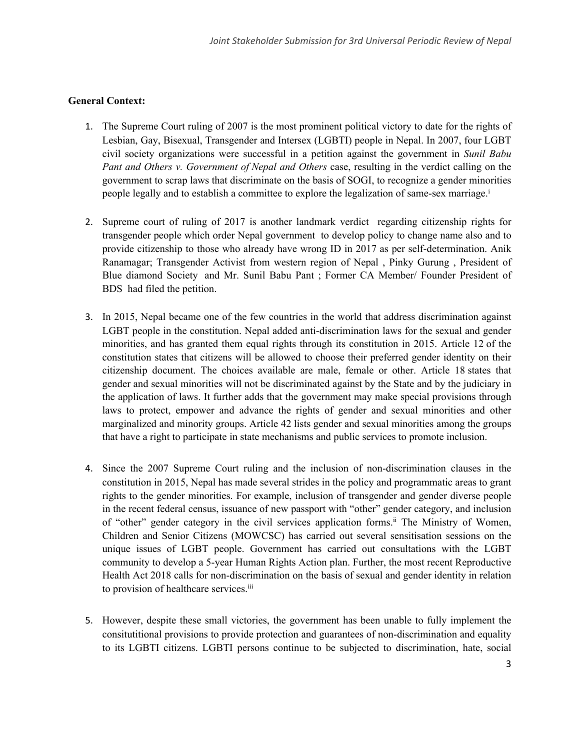### **General Context:**

- 1. The Supreme Court ruling of 2007 is the most prominent political victory to date for the rights of Lesbian, Gay, Bisexual, Transgender and Intersex (LGBTI) people in Nepal. In 2007, four LGBT civil society organizations were successful in <sup>a</sup> petition against the governmen<sup>t</sup> in *Sunil Babu Pant and Others v. Government of Nepal and Others* case, resulting in the verdict calling on the governmen<sup>t</sup> to scrap laws that discriminate on the basis of SOGI, to recognize <sup>a</sup> gender minorities people legally and to establish <sup>a</sup> committee to explore the legalization of same-sex marriage. i
- 2. Supreme court of ruling of 2017 is another landmark verdict regarding citizenship rights for transgender people which order Nepal governmen<sup>t</sup> to develop policy to change name also and to provide citizenship to those who already have wrong ID in 2017 as per self-determination. Anik Ranamagar; Transgender Activist from western region of Nepal , Pinky Gurung , President of Blue diamond Society and Mr. Sunil Babu Pant ; Former CA Member/ Founder President of BDS had filed the petition.
- 3. In 2015, Nepal became one of the few countries in the world that address discrimination against LGBT people in the constitution. Nepal added anti-discrimination laws for the sexual and gender minorities, and has granted them equal rights through its constitution in 2015. Article 12 of the constitution states that citizens will be allowed to choose their preferred gender identity on their citizenship document. The choices available are male, female or other. Article 18 states that gender and sexual minorities will not be discriminated against by the State and by the judiciary in the application of laws. It further adds that the governmen<sup>t</sup> may make special provisions through laws to protect, empower and advance the rights of gender and sexual minorities and other marginalized and minority groups. Article 42 lists gender and sexual minorities among the groups that have <sup>a</sup> right to participate in state mechanisms and public services to promote inclusion.
- 4. Since the 2007 Supreme Court ruling and the inclusion of non-discrimination clauses in the constitution in 2015, Nepal has made several strides in the policy and programmatic areas to gran<sup>t</sup> rights to the gender minorities. For example, inclusion of transgender and gender diverse people in the recent federal census, issuance of new passpor<sup>t</sup> with "other" gender category, and inclusion of "other" gender category in the civil services application forms.<sup>ii</sup> The Ministry of Women, Children and Senior Citizens (MOWCSC) has carried out several sensitisation sessions on the unique issues of LGBT people. Government has carried out consultations with the LGBT community to develop <sup>a</sup> 5-year Human Rights Action plan. Further, the most recent Reproductive Health Act 2018 calls for non-discrimination on the basis of sexual and gender identity in relation to provision of healthcare services.<sup>iii</sup>
- 5. However, despite these small victories, the governmen<sup>t</sup> has been unable to fully implement the consitutitional provisions to provide protection and guarantees of non-discrimination and equality to its LGBTI citizens. LGBTI persons continue to be subjected to discrimination, hate, social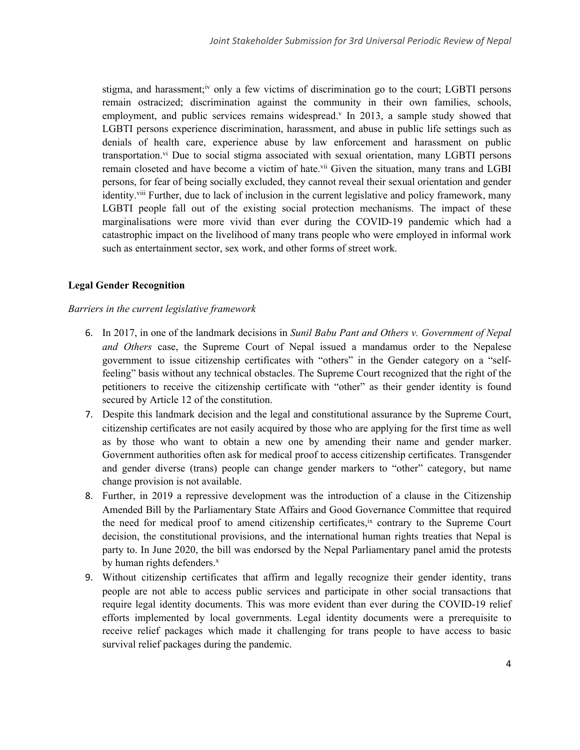stigma, and harassment;<sup>iv</sup> only a few victims of discrimination go to the court; LGBTI persons remain ostracized; discrimination against the community in their own families, schools, employment, and public services remains widespread. In 2013, a sample study showed that LGBTI persons experience discrimination, harassment, and abuse in public life settings such as denials of health care, experience abuse by law enforcement and harassment on public transportation.<sup>vi</sup> Due to social stigma associated with sexual orientation, many LGBTI persons remain closeted and have become a victim of hate.<sup>vii</sup> Given the situation, many trans and LGBI persons, for fear of being socially excluded, they cannot reveal their sexual orientation and gender identity.<sup>viii</sup> Further, due to lack of inclusion in the current legislative and policy framework, many LGBTI people fall out of the existing social protection mechanisms. The impact of these marginalisations were more vivid than ever during the COVID-19 pandemic which had <sup>a</sup> catastrophic impact on the livelihood of many trans people who were employed in informal work such as entertainment sector, sex work, and other forms of street work.

#### **Legal Gender Recognition**

#### *Barriers in the current legislative framework*

- 6. In 2017, in one of the landmark decisions in *Sunil Babu Pant and Others v. Government of Nepal and Others* case, the Supreme Court of Nepal issued <sup>a</sup> mandamus order to the Nepalese governmen<sup>t</sup> to issue citizenship certificates with "others" in the Gender category on <sup>a</sup> "selffeeling" basis without any technical obstacles. The Supreme Court recognized that the right of the petitioners to receive the citizenship certificate with "other" as their gender identity is found secured by Article 12 of the constitution.
- 7. Despite this landmark decision and the legal and constitutional assurance by the Supreme Court, citizenship certificates are not easily acquired by those who are applying for the first time as well as by those who want to obtain <sup>a</sup> new one by amending their name and gender marker. Government authorities often ask for medical proof to access citizenship certificates. Transgender and gender diverse (trans) people can change gender markers to "other" category, but name change provision is not available.
- 8. Further, in 2019 <sup>a</sup> repressive development was the introduction of <sup>a</sup> clause in the Citizenship Amended Bill by the Parliamentary State Affairs and Good Governance Committee that required the need for medical proof to amend citizenship certificates,<sup>ix</sup> contrary to the Supreme Court decision, the constitutional provisions, and the international human rights treaties that Nepal is party to. In June 2020, the bill was endorsed by the Nepal Parliamentary panel amid the protests by human rights defenders.<sup>x</sup>
- 9. Without citizenship certificates that affirm and legally recognize their gender identity, trans people are not able to access public services and participate in other social transactions that require legal identity documents. This was more evident than ever during the COVID-19 relief efforts implemented by local governments. Legal identity documents were <sup>a</sup> prerequisite to receive relief packages which made it challenging for trans people to have access to basic survival relief packages during the pandemic.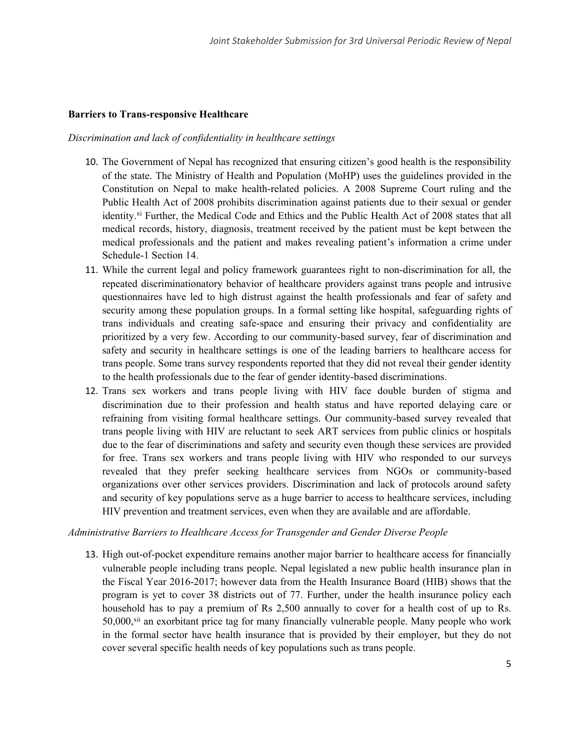### **Barriers to Trans-responsive Healthcare**

#### *Discrimination and lack of confidentiality in healthcare settings*

- 10. The Government of Nepal has recognized that ensuring citizen'<sup>s</sup> good health is the responsibility of the state. The Ministry of Health and Population (MoHP) uses the guidelines provided in the Constitution on Nepal to make health-related policies. A 2008 Supreme Court ruling and the Public Health Act of 2008 prohibits discrimination against patients due to their sexual or gender identity.<sup>xi</sup> Further, the Medical Code and Ethics and the Public Health Act of 2008 states that all medical records, history, diagnosis, treatment received by the patient must be kept between the medical professionals and the patient and makes revealing patient'<sup>s</sup> information <sup>a</sup> crime under Schedule-1 Section 14.
- 11. While the current legal and policy framework guarantees right to non-discrimination for all, the repeated discriminationatory behavior of healthcare providers against trans people and intrusive questionnaires have led to high distrust against the health professionals and fear of safety and security among these population groups. In <sup>a</sup> formal setting like hospital, safeguarding rights of trans individuals and creating safe-space and ensuring their privacy and confidentiality are prioritized by <sup>a</sup> very few. According to our community-based survey, fear of discrimination and safety and security in healthcare settings is one of the leading barriers to healthcare access for trans people. Some trans survey respondents reported that they did not reveal their gender identity to the health professionals due to the fear of gender identity-based discriminations.
- 12. Trans sex workers and trans people living with HIV face double burden of stigma and discrimination due to their profession and health status and have reported delaying care or refraining from visiting formal healthcare settings. Our community-based survey revealed that trans people living with HIV are reluctant to seek ART services from public clinics or hospitals due to the fear of discriminations and safety and security even though these services are provided for free. Trans sex workers and trans people living with HIV who responded to our surveys revealed that they prefer seeking healthcare services from NGOs or community-based organizations over other services providers. Discrimination and lack of protocols around safety and security of key populations serve as <sup>a</sup> huge barrier to access to healthcare services, including HIV prevention and treatment services, even when they are available and are affordable.

### *Administrative Barriers to Healthcare Access for Transgender and Gender Diverse People*

13. High out-of-pocket expenditure remains another major barrier to healthcare access for financially vulnerable people including trans people. Nepal legislated <sup>a</sup> new public health insurance plan in the Fiscal Year 2016-2017; however data from the Health Insurance Board (HIB) shows that the program is ye<sup>t</sup> to cover 38 districts out of 77. Further, under the health insurance policy each household has to pay <sup>a</sup> premium of Rs 2,500 annually to cover for <sup>a</sup> health cost of up to Rs. 50,000,<sup>xii</sup> an exorbitant price tag for many financially vulnerable people. Many people who work in the formal sector have health insurance that is provided by their employer, but they do not cover several specific health needs of key populations such as trans people.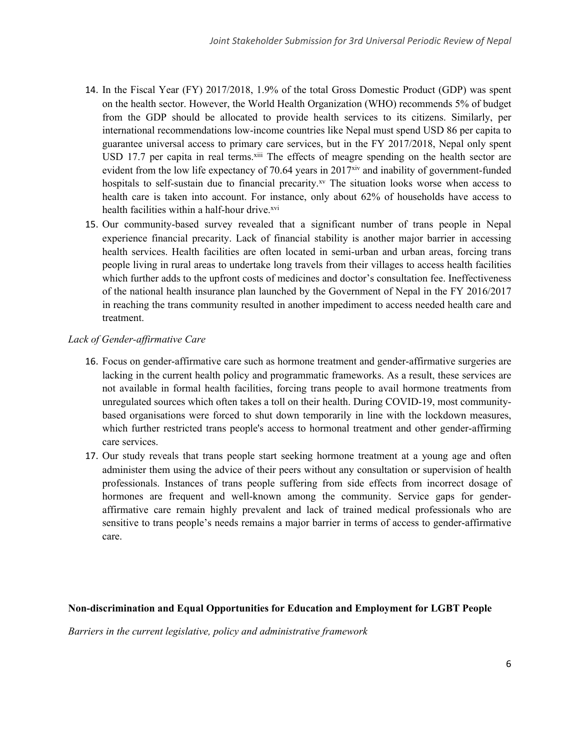- 14. In the Fiscal Year (FY) 2017/2018, 1.9% of the total Gross Domestic Product (GDP) was spen<sup>t</sup> on the health sector. However, the World Health Organization (WHO) recommends 5% of budget from the GDP should be allocated to provide health services to its citizens. Similarly, per international recommendations low-income countries like Nepal must spend USD 86 per capita to guarantee universal access to primary care services, but in the FY 2017/2018, Nepal only spen<sup>t</sup> USD 17.7 per capita in real terms.<sup>xiii</sup> The effects of meagre spending on the health sector are evident from the low life expectancy of 70.64 years in 2017<sup>xiv</sup> and inability of government-funded hospitals to self-sustain due to financial precarity.<sup>xv</sup> The situation looks worse when access to health care is taken into account. For instance, only about 62% of households have access to health facilities within a half-hour drive.<sup>xvi</sup>
- 15. Our community-based survey revealed that <sup>a</sup> significant number of trans people in Nepal experience financial precarity. Lack of financial stability is another major barrier in accessing health services. Health facilities are often located in semi-urban and urban areas, forcing trans people living in rural areas to undertake long travels from their villages to access health facilities which further adds to the upfront costs of medicines and doctor'<sup>s</sup> consultation fee. Ineffectiveness of the national health insurance plan launched by the Government of Nepal in the FY 2016/2017 in reaching the trans community resulted in another impediment to access needed health care and treatment.

### *Lack of Gender-affirmative Care*

- 16. Focus on gender-affirmative care such as hormone treatment and gender-affirmative surgeries are lacking in the current health policy and programmatic frameworks. As <sup>a</sup> result, these services are not available in formal health facilities, forcing trans people to avail hormone treatments from unregulated sources which often takes <sup>a</sup> toll on their health. During COVID-19, most communitybased organisations were forced to shut down temporarily in line with the lockdown measures, which further restricted trans people's access to hormonal treatment and other gender-affirming care services.
- 17. Our study reveals that trans people start seeking hormone treatment at <sup>a</sup> young age and often administer them using the advice of their peers without any consultation or supervision of health professionals. Instances of trans people suffering from side effects from incorrect dosage of hormones are frequent and well-known among the community. Service gaps for genderaffirmative care remain highly prevalent and lack of trained medical professionals who are sensitive to trans people'<sup>s</sup> needs remains <sup>a</sup> major barrier in terms of access to gender-affirmative care.

### **Non-discrimination and Equal Opportunities for Education and Employment for LGBT People**

*Barriers in the current legislative, policy and administrative framework*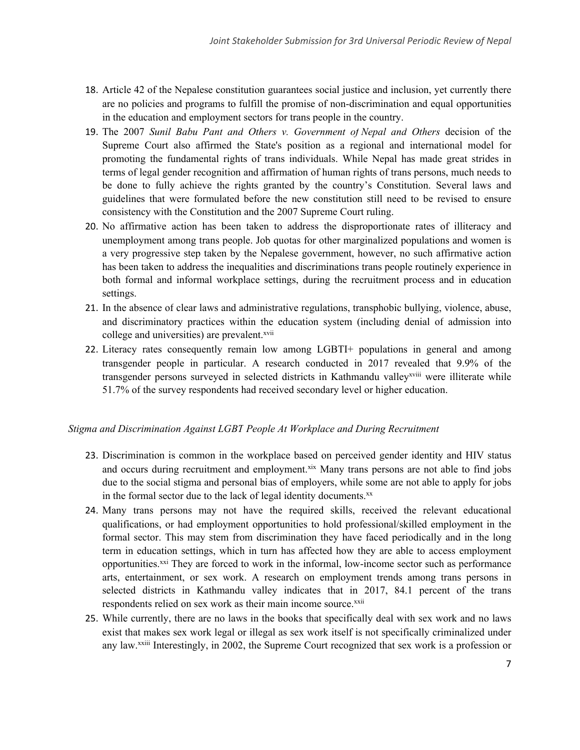- 18. Article 42 of the Nepalese constitution guarantees social justice and inclusion, ye<sup>t</sup> currently there are no policies and programs to fulfill the promise of non-discrimination and equal opportunities in the education and employment sectors for trans people in the country.
- 19. The 2007 *Sunil Babu Pant and Others v. Government of Nepal and Others* decision of the Supreme Court also affirmed the State's position as <sup>a</sup> regional and international model for promoting the fundamental rights of trans individuals. While Nepal has made grea<sup>t</sup> strides in terms of legal gender recognition and affirmation of human rights of trans persons, much needs to be done to fully achieve the rights granted by the country'<sup>s</sup> Constitution. Several laws and guidelines that were formulated before the new constitution still need to be revised to ensure consistency with the Constitution and the 2007 Supreme Court ruling.
- 20. No affirmative action has been taken to address the disproportionate rates of illiteracy and unemployment among trans people. Job quotas for other marginalized populations and women is <sup>a</sup> very progressive step taken by the Nepalese government, however, no such affirmative action has been taken to address the inequalities and discriminations trans people routinely experience in both formal and informal workplace settings, during the recruitment process and in education settings.
- 21. In the absence of clear laws and administrative regulations, transphobic bullying, violence, abuse, and discriminatory practices within the education system (including denial of admission into college and universities) are prevalent.<sup>xvii</sup>
- 22. Literacy rates consequently remain low among LGBTI+ populations in general and among transgender people in particular. A research conducted in 2017 revealed that 9.9% of the transgender persons surveyed in selected districts in Kathmandu valley<sup>xviii</sup> were illiterate while 51.7% of the survey respondents had received secondary level or higher education.

### *Stigma and Discrimination Against LGBT People At Workplace and During Recruitment*

- 23. Discrimination is common in the workplace based on perceived gender identity and HIV status and occurs during recruitment and employment.<sup>xix</sup> Many trans persons are not able to find jobs due to the social stigma and personal bias of employers, while some are not able to apply for jobs in the formal sector due to the lack of legal identity documents.<sup>xx</sup>
- 24. Many trans persons may not have the required skills, received the relevant educational qualifications, or had employment opportunities to hold professional/skilled employment in the formal sector. This may stem from discrimination they have faced periodically and in the long term in education settings, which in turn has affected how they are able to access employment opportunities.<sup>xxi</sup> They are forced to work in the informal, low-income sector such as performance arts, entertainment, or sex work. A research on employment trends among trans persons in selected districts in Kathmandu valley indicates that in 2017, 84.1 percen<sup>t</sup> of the trans respondents relied on sex work as their main income source.<sup>xxii</sup>
- 25. While currently, there are no laws in the books that specifically deal with sex work and no laws exist that makes sex work legal or illegal as sex work itself is not specifically criminalized under any law.<sup>xxiii</sup> Interestingly, in 2002, the Supreme Court recognized that sex work is a profession or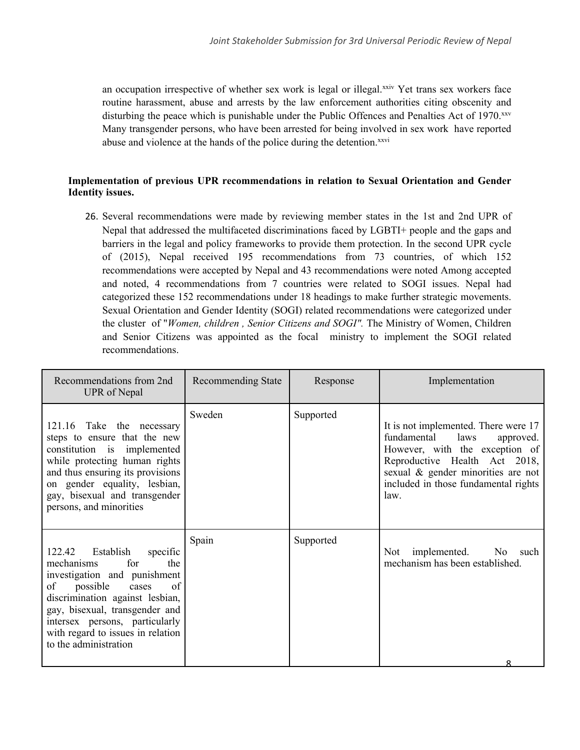an occupation irrespective of whether sex work is legal or illegal.<sup>xxiv</sup> Yet trans sex workers face routine harassment, abuse and arrests by the law enforcement authorities citing obscenity and disturbing the peace which is punishable under the Public Offences and Penalties Act of 1970.<sup>xxv</sup> Many transgender persons, who have been arrested for being involved in sex work have reported abuse and violence at the hands of the police during the detention.<sup>xxvi</sup>

## **Implementation of previous UPR recommendations in relation to Sexual Orientation and Gender Identity issues.**

26. Several recommendations were made by reviewing member states in the 1st and 2nd UPR of Nepal that addressed the multifaceted discriminations faced by LGBTI+ people and the gaps and barriers in the legal and policy frameworks to provide them protection. In the second UPR cycle of (2015), Nepal received 195 recommendations from 73 countries, of which 152 recommendations were accepted by Nepal and 43 recommendations were noted Among accepted and noted, 4 recommendations from 7 countries were related to SOGI issues. Nepal had categorized these 152 recommendations under 18 headings to make further strategic movements. Sexual Orientation and Gender Identity (SOGI) related recommendations were categorized under the cluster of "*Women, children , Senior Citizens and SOGI".* The Ministry of Women, Children and Senior Citizens was appointed as the focal ministry to implement the SOGI related recommendations.

| Recommendations from 2nd<br>UPR of Nepal                                                                                                                                                                                                                                                          | Recommending State | Response  | Implementation                                                                                                                                                                                                                    |
|---------------------------------------------------------------------------------------------------------------------------------------------------------------------------------------------------------------------------------------------------------------------------------------------------|--------------------|-----------|-----------------------------------------------------------------------------------------------------------------------------------------------------------------------------------------------------------------------------------|
| Take the necessary<br>121.16<br>steps to ensure that the new<br>constitution is implemented<br>while protecting human rights<br>and thus ensuring its provisions<br>on gender equality, lesbian,<br>gay, bisexual and transgender<br>persons, and minorities                                      | Sweden             | Supported | It is not implemented. There were 17<br>fundamental<br>laws<br>approved.<br>However, with the exception of<br>Reproductive Health Act 2018,<br>sexual & gender minorities are not<br>included in those fundamental rights<br>law. |
| Establish<br>122.42<br>specific<br>for<br>mechanisms<br>the<br>investigation and punishment<br>possible<br>of<br>of<br>cases<br>discrimination against lesbian,<br>gay, bisexual, transgender and<br>intersex persons, particularly<br>with regard to issues in relation<br>to the administration | Spain              | Supported | implemented.<br>No<br>Not<br>such<br>mechanism has been established.                                                                                                                                                              |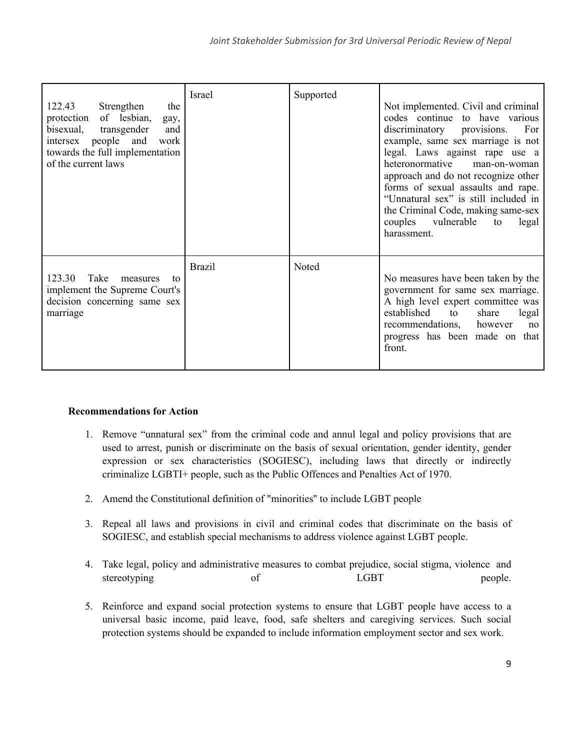| 122.43<br>Strengthen<br>the<br>protection of lesbian,<br>gay,<br>transgender<br>bisexual,<br>and<br>intersex people and work<br>towards the full implementation<br>of the current laws | Israel        | Supported | Not implemented. Civil and criminal<br>codes continue to have various<br>discriminatory provisions.<br>For<br>example, same sex marriage is not<br>legal. Laws against rape use a<br>heteronormative<br>man-on-woman<br>approach and do not recognize other<br>forms of sexual assaults and rape.<br>"Unnatural sex" is still included in<br>the Criminal Code, making same-sex<br>couples vulnerable<br>legal<br>to<br>harassment. |
|----------------------------------------------------------------------------------------------------------------------------------------------------------------------------------------|---------------|-----------|-------------------------------------------------------------------------------------------------------------------------------------------------------------------------------------------------------------------------------------------------------------------------------------------------------------------------------------------------------------------------------------------------------------------------------------|
| Take<br>123.30<br>measures<br>to<br>implement the Supreme Court's<br>decision concerning same sex<br>marriage                                                                          | <b>Brazil</b> | Noted     | No measures have been taken by the<br>government for same sex marriage.<br>A high level expert committee was<br>established<br>to<br>share<br>legal<br>recommendations,<br>however<br>no<br>progress has been made on that<br>front.                                                                                                                                                                                                |

# **Recommendations for Action**

- 1. Remove "unnatural sex" from the criminal code and annul legal and policy provisions that are used to arrest, punish or discriminate on the basis of sexual orientation, gender identity, gender expression or sex characteristics (SOGIESC), including laws that directly or indirectly criminalize LGBTI+ people, such as the Public Offences and Penalties Act of 1970.
- 2. Amend the Constitutional definition of "minorities'' to include LGBT people
- 3. Repeal all laws and provisions in civil and criminal codes that discriminate on the basis of SOGIESC, and establish special mechanisms to address violence against LGBT people.
- 4. Take legal, policy and administrative measures to combat prejudice, social stigma, violence and stereotyping of CGBT people.
- 5. Reinforce and expand social protection systems to ensure that LGBT people have access to <sup>a</sup> universal basic income, paid leave, food, safe shelters and caregiving services. Such social protection systems should be expanded to include information employment sector and sex work.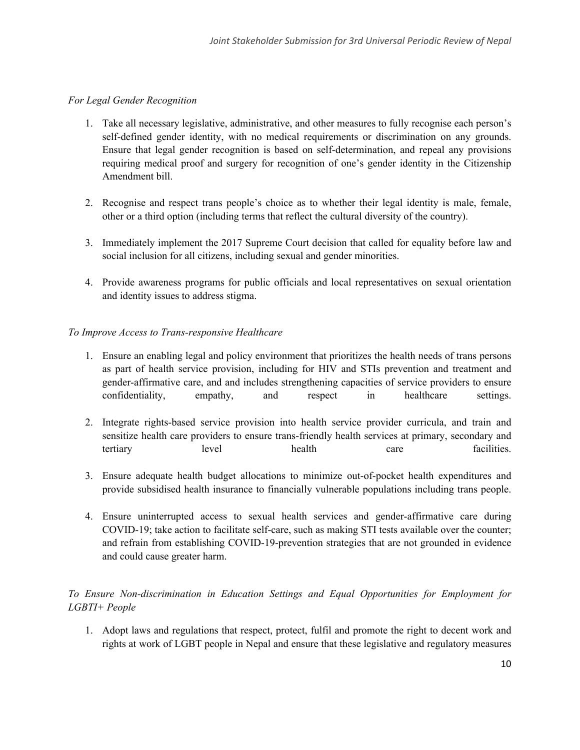## *For Legal Gender Recognition*

- 1. Take all necessary legislative, administrative, and other measures to fully recognise each person'<sup>s</sup> self-defined gender identity, with no medical requirements or discrimination on any grounds. Ensure that legal gender recognition is based on self-determination, and repeal any provisions requiring medical proof and surgery for recognition of one'<sup>s</sup> gender identity in the Citizenship Amendment bill.
- 2. Recognise and respec<sup>t</sup> trans people'<sup>s</sup> choice as to whether their legal identity is male, female, other or <sup>a</sup> third option (including terms that reflect the cultural diversity of the country).
- 3. Immediately implement the 2017 Supreme Court decision that called for equality before law and social inclusion for all citizens, including sexual and gender minorities.
- 4. Provide awareness programs for public officials and local representatives on sexual orientation and identity issues to address stigma.

### *To Improve Access to Trans-responsive Healthcare*

- 1. Ensure an enabling legal and policy environment that prioritizes the health needs of trans persons as par<sup>t</sup> of health service provision, including for HIV and STIs prevention and treatment and gender-affirmative care, and and includes strengthening capacities of service providers to ensure confidentiality, empathy, and respec<sup>t</sup> in healthcare settings.
- 2. Integrate rights-based service provision into health service provider curricula, and train and sensitize health care providers to ensure trans-friendly health services at primary, secondary and tertiary level health care facilities.
- 3. Ensure adequate health budget allocations to minimize out-of-pocket health expenditures and provide subsidised health insurance to financially vulnerable populations including trans people.
- 4. Ensure uninterrupted access to sexual health services and gender-affirmative care during COVID-19; take action to facilitate self-care, such as making STI tests available over the counter; and refrain from establishing COVID-19-prevention strategies that are not grounded in evidence and could cause greater harm.

# *To Ensure Non-discrimination in Education Settings and Equal Opportunities for Employment for LGBTI+ People*

1. Adopt laws and regulations that respect, protect, fulfil and promote the right to decent work and rights at work of LGBT people in Nepal and ensure that these legislative and regulatory measures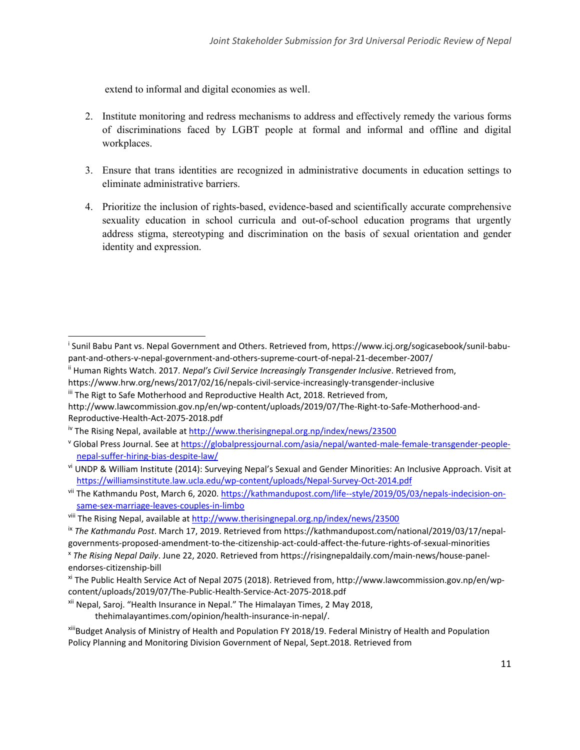extend to informal and digital economies as well.

- 2. Institute monitoring and redress mechanisms to address and effectively remedy the various forms of discriminations faced by LGBT people at formal and informal and offline and digital workplaces.
- 3. Ensure that trans identities are recognized in administrative documents in education settings to eliminate administrative barriers.
- 4. Prioritize the inclusion of rights-based, evidence-based and scientifically accurate comprehensive sexuality education in school curricula and out-of-school education programs that urgently address stigma, stereotyping and discrimination on the basis of sexual orientation and gender identity and expression.

https://www.hrw.org/news/2017/02/16/nepals-civil-service-increasingly-transgender-inclusive

xi The Public Health Service Act of Nepal 2075 (2018). Retrieved from, http://www.lawcommission.gov.np/en/wpcontent/uploads/2019/07/The-Public-Health-Service-Act-2075-2018.pdf

thehimalayantimes.com/opinion/health-insurance-in-nepal/.

xiii Budget Analysis of Ministry of Health and Population FY 2018/19. Federal Ministry of Health and Population Policy Planning and Monitoring Division Government of Nepal, Sept.2018. Retrieved from

i Sunil Babu Pant vs. Nepal Government and Others. Retrieved from, https://www.icj.org/sogicasebook/sunil-babupant-and-others-v-nepal-government-and-others-supreme-court-of-nepal-21-december-2007/

ii Human Rights Watch. 2017. *Nepal'<sup>s</sup> Civil Service Increasingly Transgender Inclusive*. Retrieved from,

<sup>&</sup>lt;sup>iii</sup> The Rigt to Safe Motherhood and Reproductive Health Act, 2018. Retrieved from, http://www.lawcommission.gov.np/en/wp-content/uploads/2019/07/The-Right-to-Safe-Motherhood-and-Reproductive-Health-Act-2075-2018.pdf

<sup>&</sup>lt;sup>iv</sup> The Rising Nepal, available at <http://www.therisingnepal.org.np/index/news/23500>

v Global Press Journal. See at [https://globalpressjournal.com/asia/nepal/wanted-male-female-transgender-people](https://globalpressjournal.com/asia/nepal/wanted-male-female-transgender-people-nepal-suffer-hiring-bias-despite-law/)[nepal-suffer-hiring-bias-despite-law/](https://globalpressjournal.com/asia/nepal/wanted-male-female-transgender-people-nepal-suffer-hiring-bias-despite-law/)

vi UNDP & William Institute (2014): Surveying Nepal's Sexual and Gender Minorities: An Inclusive Approach. Visit at <https://williamsinstitute.law.ucla.edu/wp-content/uploads/Nepal-Survey-Oct-2014.pdf>

vii The Kathmandu Post, March 6, 2020. [https://kathmandupost.com/life--style/2019/05/03/nepals-indecision-on](https://kathmandupost.com/life--style/2019/05/03/nepals-indecision-on-same-sex-marriage-leaves-couples-in-limbo)[same-sex-marriage-leaves-couples-in-limbo](https://kathmandupost.com/life--style/2019/05/03/nepals-indecision-on-same-sex-marriage-leaves-couples-in-limbo)

<sup>&</sup>lt;sup>viii</sup> The Rising Nepal, available at <http://www.therisingnepal.org.np/index/news/23500>

ix *The Kathmandu Post*. March 17, 2019. Retrieved from https://kathmandupost.com/national/2019/03/17/nepalgovernments-proposed-amendment-to-the-citizenship-act-could-affect-the-future-rights-of-sexual-minorities

x *The Rising Nepal Daily*. June 22, 2020. Retrieved from https://risingnepaldaily.com/main-news/house-panelendorses-citizenship-bill

<sup>&</sup>lt;sup>xii</sup> Nepal, Saroj. "Health Insurance in Nepal." The Himalayan Times, 2 May 2018,